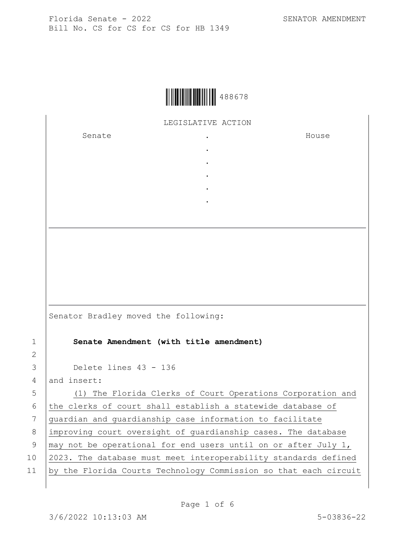

LEGISLATIVE ACTION

. . . . .

Senate .

House

|                 | Senator Bradley moved the following:                             |
|-----------------|------------------------------------------------------------------|
| $\mathbf{1}$    | Senate Amendment (with title amendment)                          |
| $\overline{2}$  |                                                                  |
| 3               | Delete lines 43 - 136                                            |
| $\overline{4}$  | and insert:                                                      |
| 5               | (1) The Florida Clerks of Court Operations Corporation and       |
| 6               | the clerks of court shall establish a statewide database of      |
| 7               | quardian and quardianship case information to facilitate         |
| 8               | improving court oversight of quardianship cases. The database    |
| 9               | may not be operational for end users until on or after July 1,   |
| 10 <sub>o</sub> | 2023. The database must meet interoperability standards defined  |
| 11              | by the Florida Courts Technology Commission so that each circuit |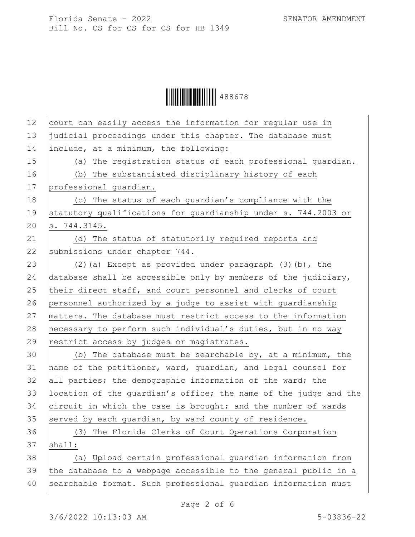Ì488678lÎ488678

| 12 | court can easily access the information for regular use in       |
|----|------------------------------------------------------------------|
| 13 | judicial proceedings under this chapter. The database must       |
| 14 | include, at a minimum, the following:                            |
| 15 | The registration status of each professional guardian.<br>(a)    |
| 16 | (b) The substantiated disciplinary history of each               |
| 17 | professional quardian.                                           |
| 18 | (c) The status of each guardian's compliance with the            |
| 19 | statutory qualifications for guardianship under s. 744.2003 or   |
| 20 | s. 744.3145.                                                     |
| 21 | (d) The status of statutorily required reports and               |
| 22 | submissions under chapter 744.                                   |
| 23 | $(2)$ (a) Except as provided under paragraph $(3)$ (b), the      |
| 24 | database shall be accessible only by members of the judiciary,   |
| 25 | their direct staff, and court personnel and clerks of court      |
| 26 | personnel authorized by a judge to assist with quardianship      |
| 27 | matters. The database must restrict access to the information    |
| 28 | necessary to perform such individual's duties, but in no way     |
| 29 | restrict access by judges or magistrates.                        |
| 30 | (b) The database must be searchable by, at a minimum, the        |
| 31 | name of the petitioner, ward, guardian, and legal counsel for    |
| 32 | all parties; the demographic information of the ward; the        |
| 33 | location of the quardian's office; the name of the judge and the |
| 34 | circuit in which the case is brought; and the number of wards    |
| 35 | served by each quardian, by ward county of residence.            |
| 36 | (3) The Florida Clerks of Court Operations Corporation           |
| 37 | shall:                                                           |
| 38 | (a) Upload certain professional quardian information from        |
| 39 | the database to a webpage accessible to the general public in a  |
| 40 | searchable format. Such professional quardian information must   |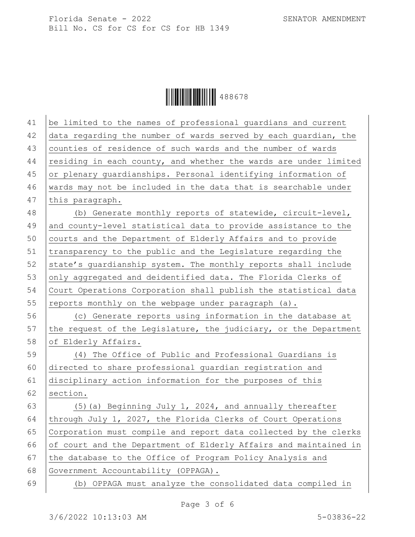

| 41 | be limited to the names of professional guardians and current    |
|----|------------------------------------------------------------------|
| 42 | data regarding the number of wards served by each guardian, the  |
| 43 | counties of residence of such wards and the number of wards      |
| 44 | residing in each county, and whether the wards are under limited |
| 45 | or plenary guardianships. Personal identifying information of    |
| 46 | wards may not be included in the data that is searchable under   |
| 47 | this paragraph.                                                  |
| 48 | (b) Generate monthly reports of statewide, circuit-level,        |
| 49 | and county-level statistical data to provide assistance to the   |
| 50 | courts and the Department of Elderly Affairs and to provide      |
| 51 | transparency to the public and the Legislature regarding the     |
| 52 | state's quardianship system. The monthly reports shall include   |
| 53 | only aggregated and deidentified data. The Florida Clerks of     |
| 54 | Court Operations Corporation shall publish the statistical data  |
| 55 | reports monthly on the webpage under paragraph (a).              |
| 56 | (c) Generate reports using information in the database at        |
| 57 | the request of the Legislature, the judiciary, or the Department |
| 58 | of Elderly Affairs.                                              |
| 59 | (4) The Office of Public and Professional Guardians is           |
| 60 | directed to share professional guardian registration and         |
| 61 | disciplinary action information for the purposes of this         |
| 62 | section.                                                         |
| 63 | (5) (a) Beginning July 1, 2024, and annually thereafter          |
| 64 | through July 1, 2027, the Florida Clerks of Court Operations     |
| 65 | Corporation must compile and report data collected by the clerks |
| 66 | of court and the Department of Elderly Affairs and maintained in |
| 67 | the database to the Office of Program Policy Analysis and        |
| 68 | Government Accountability (OPPAGA).                              |
| 69 | (b) OPPAGA must analyze the consolidated data compiled in        |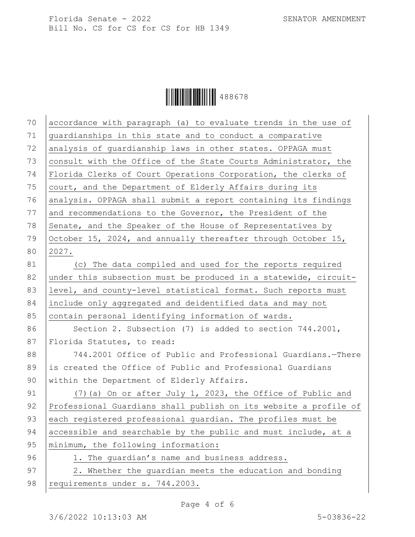

| 70 | accordance with paragraph (a) to evaluate trends in the use of   |
|----|------------------------------------------------------------------|
| 71 | guardianships in this state and to conduct a comparative         |
| 72 | analysis of quardianship laws in other states. OPPAGA must       |
| 73 | consult with the Office of the State Courts Administrator, the   |
| 74 | Florida Clerks of Court Operations Corporation, the clerks of    |
| 75 | court, and the Department of Elderly Affairs during its          |
| 76 | analysis. OPPAGA shall submit a report containing its findings   |
| 77 | and recommendations to the Governor, the President of the        |
| 78 | Senate, and the Speaker of the House of Representatives by       |
| 79 | October 15, 2024, and annually thereafter through October 15,    |
| 80 | 2027.                                                            |
| 81 | (c) The data compiled and used for the reports required          |
| 82 | under this subsection must be produced in a statewide, circuit-  |
| 83 | level, and county-level statistical format. Such reports must    |
| 84 | include only aggregated and deidentified data and may not        |
| 85 | contain personal identifying information of wards.               |
| 86 | Section 2. Subsection $(7)$ is added to section 744.2001,        |
| 87 | Florida Statutes, to read:                                       |
| 88 | 744.2001 Office of Public and Professional Guardians. - There    |
| 89 | is created the Office of Public and Professional Guardians       |
| 90 | within the Department of Elderly Affairs.                        |
| 91 | (7) (a) On or after July 1, 2023, the Office of Public and       |
| 92 | Professional Guardians shall publish on its website a profile of |
| 93 | each registered professional guardian. The profiles must be      |
| 94 | accessible and searchable by the public and must include, at a   |
| 95 | minimum, the following information:                              |
| 96 | 1. The quardian's name and business address.                     |
| 97 | 2. Whether the guardian meets the education and bonding          |
| 98 | requirements under s. 744.2003.                                  |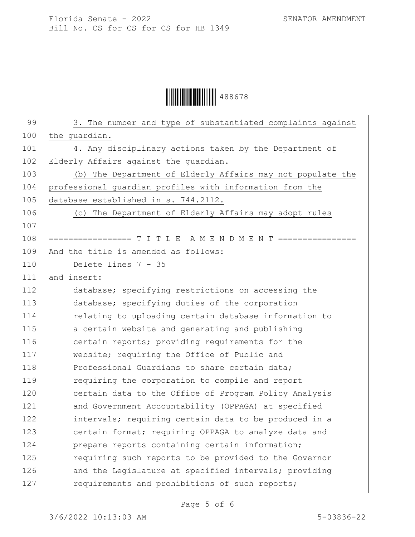Ì488678lÎ488678

| 99  | 3. The number and type of substantiated complaints against     |
|-----|----------------------------------------------------------------|
| 100 | the guardian.                                                  |
| 101 | 4. Any disciplinary actions taken by the Department of         |
| 102 | Elderly Affairs against the guardian.                          |
| 103 | (b) The Department of Elderly Affairs may not populate the     |
| 104 | professional guardian profiles with information from the       |
| 105 | database established in s. 744.2112.                           |
| 106 | (c) The Department of Elderly Affairs may adopt rules          |
| 107 |                                                                |
| 108 | ================= T I T L E A M E N D M E N T ================ |
| 109 | And the title is amended as follows:                           |
| 110 | Delete lines 7 - 35                                            |
| 111 | and insert:                                                    |
| 112 | database; specifying restrictions on accessing the             |
| 113 | database; specifying duties of the corporation                 |
| 114 | relating to uploading certain database information to          |
| 115 | a certain website and generating and publishing                |
| 116 | certain reports; providing requirements for the                |
| 117 | website; requiring the Office of Public and                    |
| 118 | Professional Guardians to share certain data;                  |
| 119 | requiring the corporation to compile and report                |
| 120 | certain data to the Office of Program Policy Analysis          |
| 121 | and Government Accountability (OPPAGA) at specified            |
| 122 | intervals; requiring certain data to be produced in a          |
| 123 | certain format; requiring OPPAGA to analyze data and           |
| 124 | prepare reports containing certain information;                |
| 125 | requiring such reports to be provided to the Governor          |
| 126 | and the Legislature at specified intervals; providing          |
| 127 | requirements and prohibitions of such reports;                 |
|     |                                                                |

Page 5 of 6